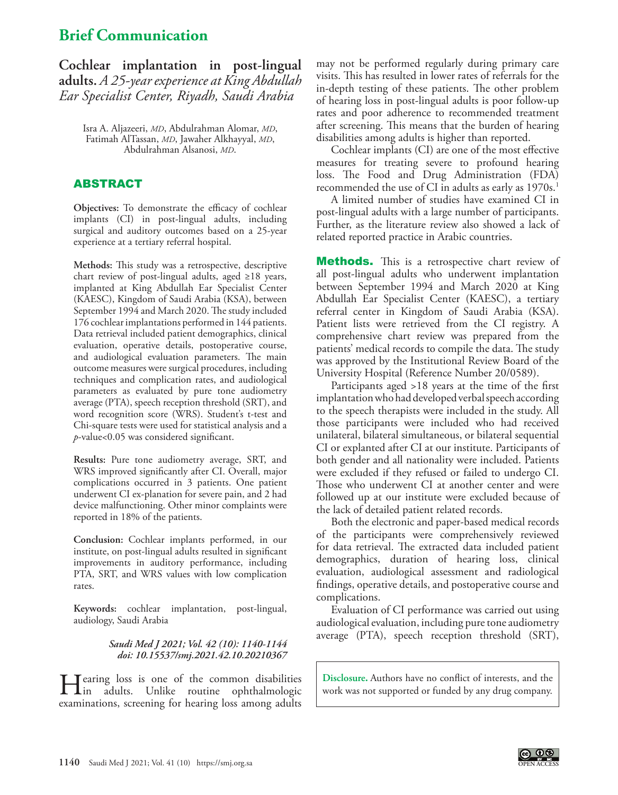# **Brief Communication**

**Cochlear implantation in post-lingual adults.** *A 25-year experience at King Abdullah Ear Specialist Center, Riyadh, Saudi Arabia*

> Isra A. Aljazeeri, *MD*, Abdulrahman Alomar, *MD*, Fatimah AlTassan, *MD*, Jawaher Alkhayyal, *MD*, Abdulrahman Alsanosi, *MD*.

## **ABSTRACT**

**Objectives:** To demonstrate the efficacy of cochlear implants (CI) in post-lingual adults, including surgical and auditory outcomes based on a 25-year experience at a tertiary referral hospital.

**Methods:** This study was a retrospective, descriptive chart review of post-lingual adults, aged ≥18 years, implanted at King Abdullah Ear Specialist Center (KAESC), Kingdom of Saudi Arabia (KSA), between September 1994 and March 2020. The study included 176 cochlear implantations performed in 144 patients. Data retrieval included patient demographics, clinical evaluation, operative details, postoperative course, and audiological evaluation parameters. The main outcome measures were surgical procedures, including techniques and complication rates, and audiological parameters as evaluated by pure tone audiometry average (PTA), speech reception threshold (SRT), and word recognition score (WRS). Student's t-test and Chi-square tests were used for statistical analysis and a *p*-value<0.05 was considered significant.

**Results:** Pure tone audiometry average, SRT, and WRS improved significantly after CI. Overall, major complications occurred in 3 patients. One patient underwent CI ex-planation for severe pain, and 2 had device malfunctioning. Other minor complaints were reported in 18% of the patients.

**Conclusion:** Cochlear implants performed, in our institute, on post-lingual adults resulted in significant improvements in auditory performance, including PTA, SRT, and WRS values with low complication rates.

**Keywords:** cochlear implantation, post-lingual, audiology, Saudi Arabia

#### *Saudi Med J 2021; Vol. 42 (10): 1140-1144 doi: 10.15537/smj.2021.42.10.20210367*

Hearing loss is one of the common disabilities in adults. Unlike routine ophthalmologic examinations, screening for hearing loss among adults

may not be performed regularly during primary care visits. This has resulted in lower rates of referrals for the in-depth testing of these patients. The other problem of hearing loss in post-lingual adults is poor follow-up rates and poor adherence to recommended treatment after screening. This means that the burden of hearing disabilities among adults is higher than reported.

Cochlear implants (CI) are one of the most effective measures for treating severe to profound hearing loss. The Food and Drug Administration (FDA) recommended the use of CI in adults as early as 1970s.<sup>1</sup>

A limited number of studies have examined CI in post-lingual adults with a large number of participants. Further, as the literature review also showed a lack of related reported practice in Arabic countries.

**Methods.** This is a retrospective chart review of all post-lingual adults who underwent implantation between September 1994 and March 2020 at King Abdullah Ear Specialist Center (KAESC), a tertiary referral center in Kingdom of Saudi Arabia (KSA). Patient lists were retrieved from the CI registry. A comprehensive chart review was prepared from the patients' medical records to compile the data. The study was approved by the Institutional Review Board of the University Hospital (Reference Number 20/0589).

Participants aged >18 years at the time of the first implantation who had developed verbal speech according to the speech therapists were included in the study. All those participants were included who had received unilateral, bilateral simultaneous, or bilateral sequential CI or explanted after CI at our institute. Participants of both gender and all nationality were included. Patients were excluded if they refused or failed to undergo CI. Those who underwent CI at another center and were followed up at our institute were excluded because of the lack of detailed patient related records.

Both the electronic and paper-based medical records of the participants were comprehensively reviewed for data retrieval. The extracted data included patient demographics, duration of hearing loss, clinical evaluation, audiological assessment and radiological findings, operative details, and postoperative course and complications.

Evaluation of CI performance was carried out using audiological evaluation, including pure tone audiometry average (PTA), speech reception threshold (SRT),

**Disclosure.** Authors have no conflict of interests, and the work was not supported or funded by any drug company.

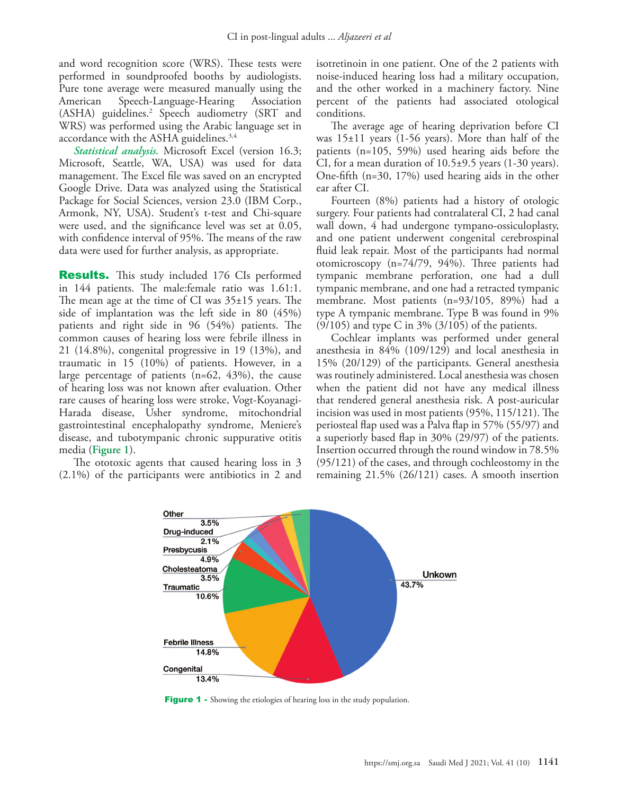and word recognition score (WRS). These tests were performed in soundproofed booths by audiologists. Pure tone average were measured manually using the American Speech-Language-Hearing Association (ASHA) guidelines.[2](#page-4-1) Speech audiometry (SRT and WRS) was performed using the Arabic language set in accordance with the ASHA guidelines.<sup>3,[4](#page-4-0)</sup>

*Statistical analysis.* Microsoft Excel (version 16.3; Microsoft, Seattle, WA, USA) was used for data management. The Excel file was saved on an encrypted Google Drive. Data was analyzed using the Statistical Package for Social Sciences, version 23.0 (IBM Corp., Armonk, NY, USA). Student's t-test and Chi-square were used, and the significance level was set at 0.05, with confidence interval of 95%. The means of the raw data were used for further analysis, as appropriate.

Results. This study included 176 CIs performed in 144 patients. The male:female ratio was 1.61:1. The mean age at the time of CI was 35±15 years. The side of implantation was the left side in 80 (45%) patients and right side in 96 (54%) patients. The common causes of hearing loss were febrile illness in 21 (14.8%), congenital progressive in 19 (13%), and traumatic in 15 (10%) of patients. However, in a large percentage of patients  $(n=62, 43\%)$ , the cause of hearing loss was not known after evaluation. Other rare causes of hearing loss were stroke, Vogt-Koyanagi-Harada disease, Usher syndrome, mitochondrial gastrointestinal encephalopathy syndrome, Meniere's disease, and tubotympanic chronic suppurative otitis media (**Figure 1**).

The ototoxic agents that caused hearing loss in 3 (2.1%) of the participants were antibiotics in 2 and isotretinoin in one patient. One of the 2 patients with noise-induced hearing loss had a military occupation, and the other worked in a machinery factory. Nine percent of the patients had associated otological conditions.

The average age of hearing deprivation before CI was 15±11 years (1-56 years). More than half of the patients (n=105, 59%) used hearing aids before the CI, for a mean duration of  $10.5\pm9.5$  years (1-30 years). One-fifth (n=30, 17%) used hearing aids in the other ear after CI.

Fourteen (8%) patients had a history of otologic surgery. Four patients had contralateral CI, 2 had canal wall down, 4 had undergone tympano-ossiculoplasty, and one patient underwent congenital cerebrospinal fluid leak repair. Most of the participants had normal otomicroscopy (n=74/79, 94%). Three patients had tympanic membrane perforation, one had a dull tympanic membrane, and one had a retracted tympanic membrane. Most patients (n=93/105, 89%) had a type A tympanic membrane. Type B was found in 9%  $(9/105)$  and type C in 3%  $(3/105)$  of the patients.

Cochlear implants was performed under general anesthesia in 84% (109/129) and local anesthesia in 15% (20/129) of the participants. General anesthesia was routinely administered. Local anesthesia was chosen when the patient did not have any medical illness that rendered general anesthesia risk. A post-auricular incision was used in most patients (95%, 115/121). The periosteal flap used was a Palva flap in 57% (55/97) and a superiorly based flap in 30% (29/97) of the patients. Insertion occurred through the round window in 78.5% (95/121) of the cases, and through cochleostomy in the remaining 21.5% (26/121) cases. A smooth insertion



Figure 1 - Showing the etiologies of hearing loss in the study population.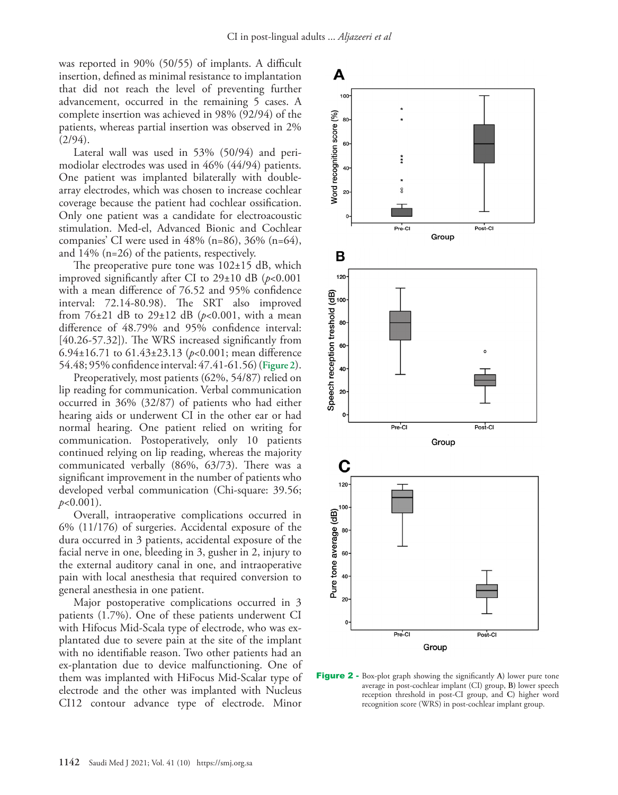was reported in 90% (50/55) of implants. A difficult insertion, defined as minimal resistance to implantation that did not reach the level of preventing further advancement, occurred in the remaining 5 cases. A complete insertion was achieved in 98% (92/94) of the patients, whereas partial insertion was observed in 2%  $(2/94)$ .

Lateral wall was used in 53% (50/94) and perimodiolar electrodes was used in 46% (44/94) patients. One patient was implanted bilaterally with doublearray electrodes, which was chosen to increase cochlear coverage because the patient had cochlear ossification. Only one patient was a candidate for electroacoustic stimulation. Med-el, Advanced Bionic and Cochlear companies' CI were used in 48% (n=86), 36% (n=64), and 14% (n=26) of the patients, respectively.

The preoperative pure tone was  $102\pm15$  dB, which improved significantly after CI to 29±10 dB (*p*<0.001 with a mean difference of 76.52 and 95% confidence interval: 72.14-80.98). The SRT also improved from  $76{\pm}21$  dB to  $29{\pm}12$  dB ( $p{<}0.001$ , with a mean difference of 48.79% and 95% confidence interval: [40.26-57.32]). The WRS increased significantly from 6.94±16.71 to 61.43±23.13 (*p*<0.001; mean difference 54.48; 95% confidence interval: 47.41-61.56) (**Figure 2**).

Preoperatively, most patients (62%, 54/87) relied on lip reading for communication. Verbal communication occurred in 36% (32/87) of patients who had either hearing aids or underwent CI in the other ear or had normal hearing. One patient relied on writing for communication. Postoperatively, only 10 patients continued relying on lip reading, whereas the majority communicated verbally (86%, 63/73). There was a significant improvement in the number of patients who developed verbal communication (Chi-square: 39.56; *p*<0.001).

Overall, intraoperative complications occurred in 6% (11/176) of surgeries. Accidental exposure of the dura occurred in 3 patients, accidental exposure of the facial nerve in one, bleeding in 3, gusher in 2, injury to the external auditory canal in one, and intraoperative pain with local anesthesia that required conversion to general anesthesia in one patient.

Major postoperative complications occurred in 3 patients (1.7%). One of these patients underwent CI with Hifocus Mid-Scala type of electrode, who was explantated due to severe pain at the site of the implant with no identifiable reason. Two other patients had an ex-plantation due to device malfunctioning. One of them was implanted with HiFocus Mid-Scalar type of electrode and the other was implanted with Nucleus CI12 contour advance type of electrode. Minor



Figure 2 - Box-plot graph showing the significantly **A)** lower pure tone average in post-cochlear implant (CI) group, **B)** lower speech reception threshold in post-CI group, and **C)** higher word recognition score (WRS) in post-cochlear implant group.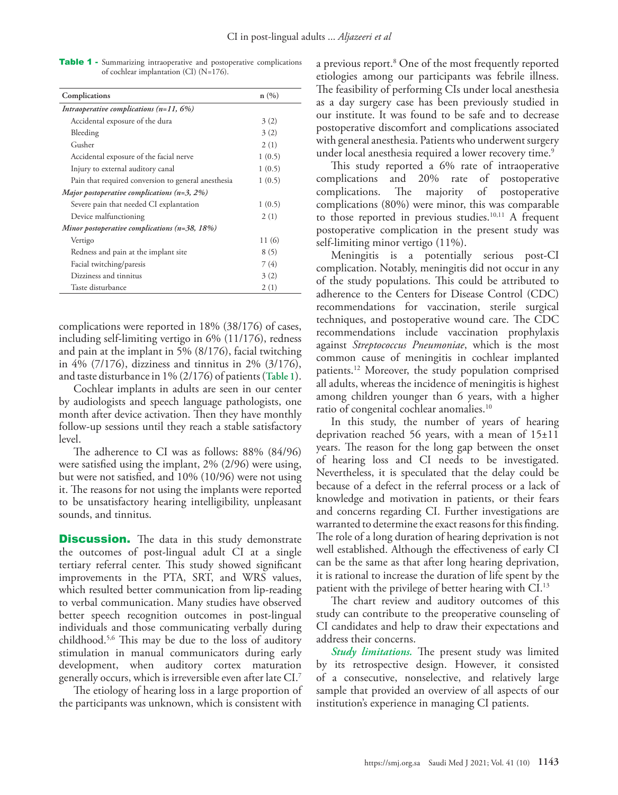Table 1 - Summarizing intraoperative and postoperative complications of cochlear implantation (CI) (N=176).

| Complications                                       | n(%)   |
|-----------------------------------------------------|--------|
| Intraoperative complications $(n=11, 6%)$           |        |
| Accidental exposure of the dura                     | 3(2)   |
| Bleeding                                            | 3(2)   |
| Gusher                                              | 2(1)   |
| Accidental exposure of the facial nerve             | 1(0.5) |
| Injury to external auditory canal                   | 1(0.5) |
| Pain that required conversion to general anesthesia | 1(0.5) |
| Major postoperative complications $(n=3, 2\%)$      |        |
| Severe pain that needed CI explantation             | 1(0.5) |
| Device malfunctioning                               | 2(1)   |
| Minor postoperative complications $(n=38, 18\%)$    |        |
| Vertigo                                             | 11 (6) |
| Redness and pain at the implant site                | 8(5)   |
| Facial twitching/paresis                            | 7(4)   |
| Dizziness and tinnitus                              | 3(2)   |
| Taste disturbance                                   | 2(1)   |

complications were reported in 18% (38/176) of cases, including self-limiting vertigo in 6% (11/176), redness and pain at the implant in 5% (8/176), facial twitching in 4% (7/176), dizziness and tinnitus in 2% (3/176), and taste disturbance in 1% (2/176) of patients (**Table 1**).

Cochlear implants in adults are seen in our center by audiologists and speech language pathologists, one month after device activation. Then they have monthly follow-up sessions until they reach a stable satisfactory level.

The adherence to CI was as follows: 88% (84/96) were satisfied using the implant, 2% (2/96) were using, but were not satisfied, and 10% (10/96) were not using it. The reasons for not using the implants were reported to be unsatisfactory hearing intelligibility, unpleasant sounds, and tinnitus.

**Discussion.** The data in this study demonstrate the outcomes of post-lingual adult CI at a single tertiary referral center. This study showed significant improvements in the PTA, SRT, and WRS values, which resulted better communication from lip-reading to verbal communication. Many studies have observed better speech recognition outcomes in post-lingual individuals and those communicating verbally during childhood.5,6 This may be due to the loss of auditory stimulation in manual communicators during early development, when auditory cortex maturation generally occurs, which is irreversible even after late CI.7

The etiology of hearing loss in a large proportion of the participants was unknown, which is consistent with

a previous report.8 One of the most frequently reported etiologies among our participants was febrile illness. The feasibility of performing CIs under local anesthesia as a day surgery case has been previously studied in our institute. It was found to be safe and to decrease postoperative discomfort and complications associated with general anesthesia. Patients who underwent surgery under local anesthesia required a lower recovery time.<sup>9</sup>

This study reported a 6% rate of intraoperative complications and 20% rate of postoperative complications. The majority of postoperative complications (80%) were minor, this was comparable to those reported in previous studies.10,11 A frequent postoperative complication in the present study was self-limiting minor vertigo (11%).

Meningitis is a potentially serious post-CI complication. Notably, meningitis did not occur in any of the study populations. This could be attributed to adherence to the Centers for Disease Control (CDC) recommendations for vaccination, sterile surgical techniques, and postoperative wound care. The CDC recommendations include vaccination prophylaxis against *Streptococcus Pneumoniae*, which is the most common cause of meningitis in cochlear implanted patients.12 Moreover, the study population comprised all adults, whereas the incidence of meningitis is highest among children younger than 6 years, with a higher ratio of congenital cochlear anomalies.10

In this study, the number of years of hearing deprivation reached 56 years, with a mean of 15±11 years. The reason for the long gap between the onset of hearing loss and CI needs to be investigated. Nevertheless, it is speculated that the delay could be because of a defect in the referral process or a lack of knowledge and motivation in patients, or their fears and concerns regarding CI. Further investigations are warranted to determine the exact reasons for this finding. The role of a long duration of hearing deprivation is not well established. Although the effectiveness of early CI can be the same as that after long hearing deprivation, it is rational to increase the duration of life spent by the patient with the privilege of better hearing with CI.<sup>13</sup>

The chart review and auditory outcomes of this study can contribute to the preoperative counseling of CI candidates and help to draw their expectations and address their concerns.

*Study limitations.* The present study was limited by its retrospective design. However, it consisted of a consecutive, nonselective, and relatively large sample that provided an overview of all aspects of our institution's experience in managing CI patients.